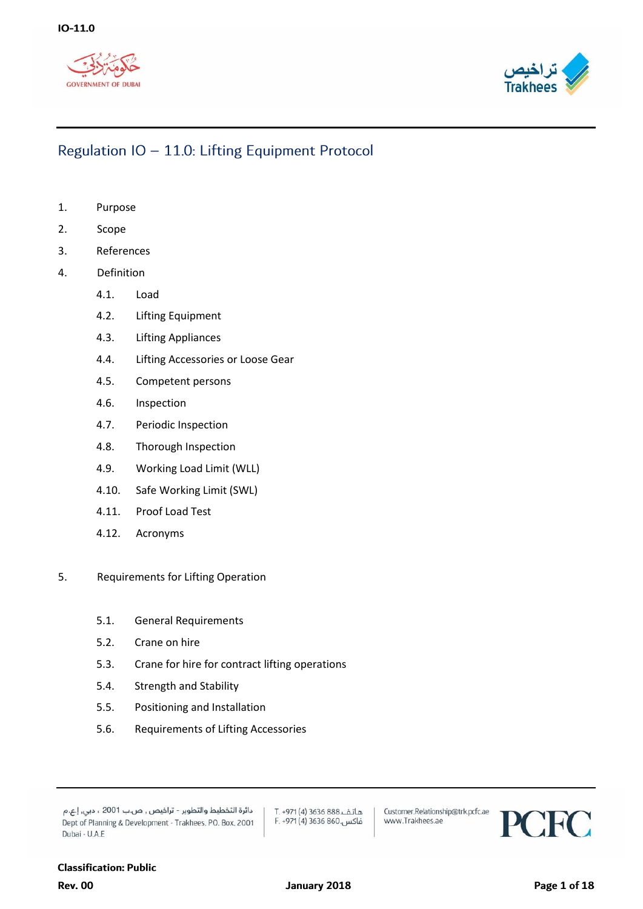



- 1. Purpose
- 2. Scope
- 3. References
- 4. Definition
	- 4.1. Load
	- 4.2. Lifting Equipment
	- 4.3. Lifting Appliances
	- 4.4. Lifting Accessories or Loose Gear
	- 4.5. Competent persons
	- 4.6. Inspection
	- 4.7. Periodic Inspection
	- 4.8. Thorough Inspection
	- 4.9. Working Load Limit (WLL)
	- 4.10. Safe Working Limit (SWL)
	- 4.11. Proof Load Test
	- 4.12. Acronyms
- 5. Requirements for Lifting Operation
	- 5.1. General Requirements
	- 5.2. Crane on hire
	- 5.3. Crane for hire for contract lifting operations
	- 5.4. Strength and Stability
	- 5.5. Positioning and Installation
	- 5.6. Requirements of Lifting Accessories

دائرة التخطيط والتطوير - تراخيص , ص.ب 2001 ، دبي, إ.ع.م Dept of Planning & Development - Trakhees, PO. Box, 2001 Dubai - U.A.E

هاتف.888 3636 (4) T. +971 فاكس.860 3636 F. +971 (4)

Customer.Relationship@trk.pcfc.ae www.Trakhees.ae

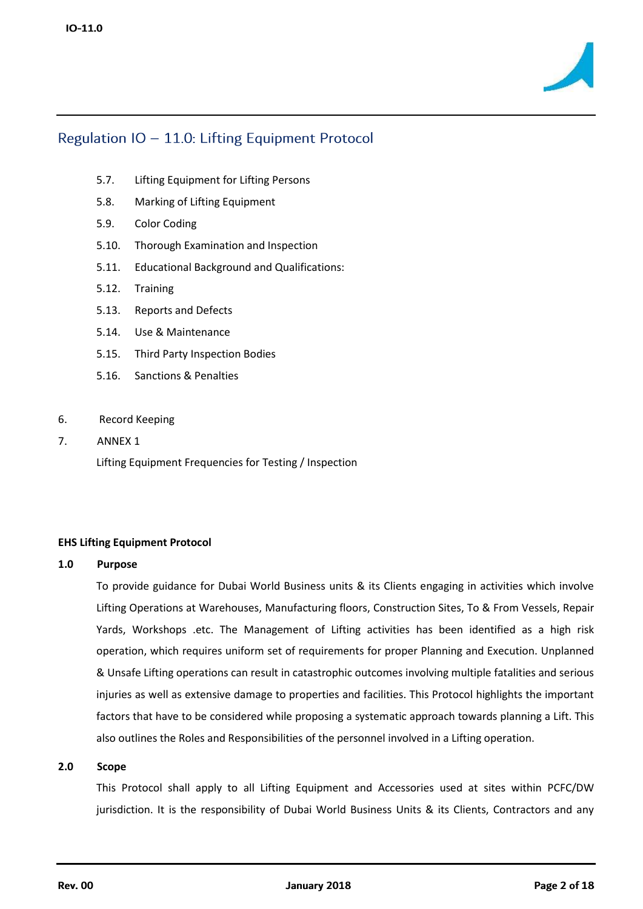

- 5.7. Lifting Equipment for Lifting Persons
- 5.8. Marking of Lifting Equipment
- 5.9. Color Coding
- 5.10. Thorough Examination and Inspection
- 5.11. Educational Background and Qualifications:
- 5.12. Training
- 5.13. Reports and Defects
- 5.14. Use & Maintenance
- 5.15. Third Party Inspection Bodies
- 5.16. Sanctions & Penalties
- 6. Record Keeping
- 7. ANNEX 1

Lifting Equipment Frequencies for Testing / Inspection

#### **EHS Lifting Equipment Protocol**

#### **1.0 Purpose**

To provide guidance for Dubai World Business units & its Clients engaging in activities which involve Lifting Operations at Warehouses, Manufacturing floors, Construction Sites, To & From Vessels, Repair Yards, Workshops .etc. The Management of Lifting activities has been identified as a high risk operation, which requires uniform set of requirements for proper Planning and Execution. Unplanned & Unsafe Lifting operations can result in catastrophic outcomes involving multiple fatalities and serious injuries as well as extensive damage to properties and facilities. This Protocol highlights the important factors that have to be considered while proposing a systematic approach towards planning a Lift. This also outlines the Roles and Responsibilities of the personnel involved in a Lifting operation.

#### **2.0 Scope**

This Protocol shall apply to all Lifting Equipment and Accessories used at sites within PCFC/DW jurisdiction. It is the responsibility of Dubai World Business Units & its Clients, Contractors and any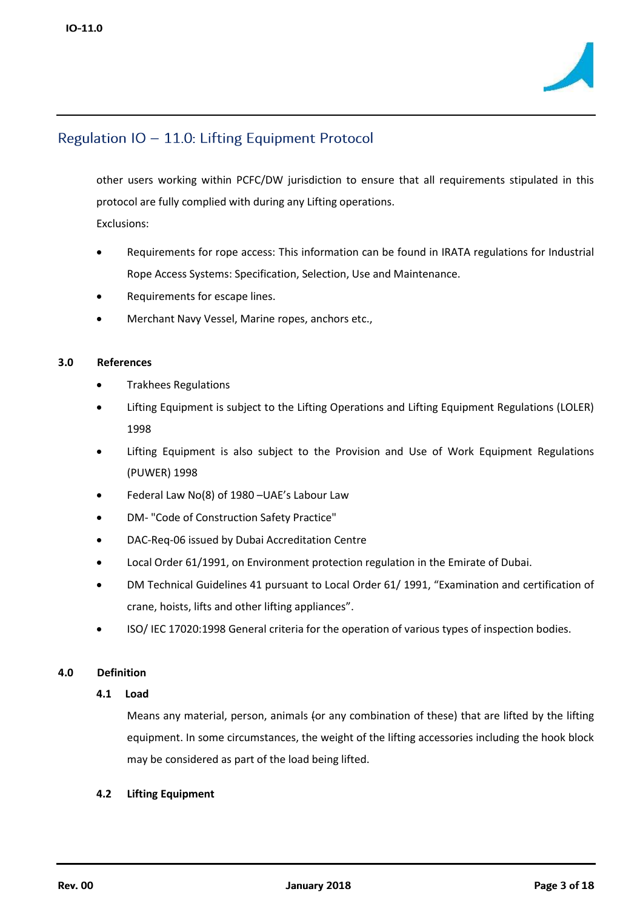

other users working within PCFC/DW jurisdiction to ensure that all requirements stipulated in this protocol are fully complied with during any Lifting operations. Exclusions:

- Requirements for rope access: This information can be found in IRATA regulations for Industrial Rope Access Systems: Specification, Selection, Use and Maintenance.
- Requirements for escape lines.
- Merchant Navy Vessel, Marine ropes, anchors etc.,

### **3.0 References**

- Trakhees Regulations
- Lifting Equipment is subject to the Lifting Operations and Lifting Equipment Regulations (LOLER) 1998
- Lifting Equipment is also subject to the Provision and Use of Work Equipment Regulations (PUWER) 1998
- Federal Law No(8) of 1980 –UAE's Labour Law
- DM- "Code of Construction Safety Practice"
- DAC-Req-06 issued by Dubai Accreditation Centre
- Local Order 61/1991, on Environment protection regulation in the Emirate of Dubai.
- DM Technical Guidelines 41 pursuant to Local Order 61/ 1991, "Examination and certification of crane, hoists, lifts and other lifting appliances".
- ISO/ IEC 17020:1998 General criteria for the operation of various types of inspection bodies.

### **4.0 Definition**

#### **4.1 Load**

Means any material, person, animals (or any combination of these) that are lifted by the lifting equipment. In some circumstances, the weight of the lifting accessories including the hook block may be considered as part of the load being lifted.

#### **4.2 Lifting Equipment**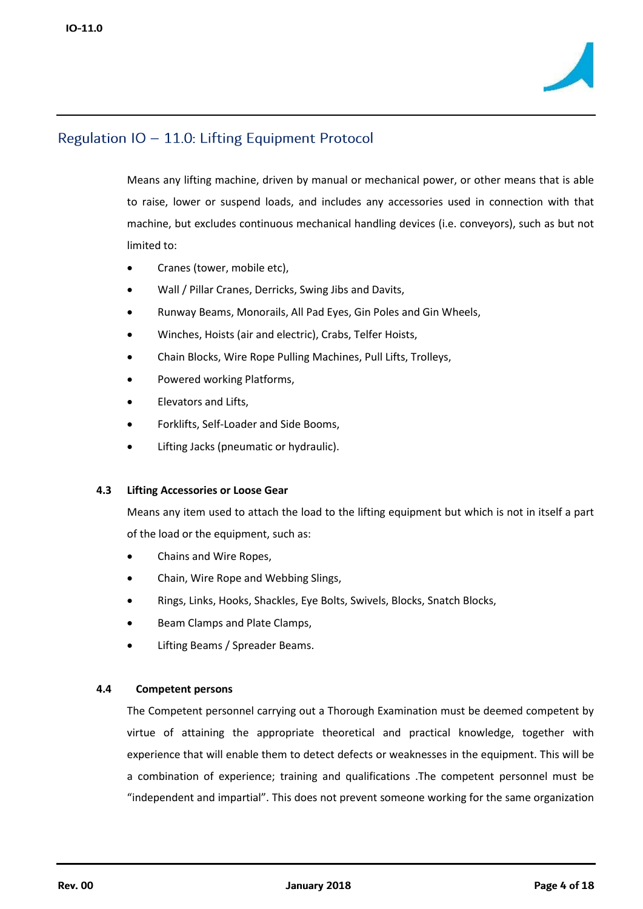

Means any lifting machine, driven by manual or mechanical power, or other means that is able to raise, lower or suspend loads, and includes any accessories used in connection with that machine, but excludes continuous mechanical handling devices (i.e. conveyors), such as but not limited to:

- Cranes (tower, mobile etc),
- Wall / Pillar Cranes, Derricks, Swing Jibs and Davits,
- Runway Beams, Monorails, All Pad Eyes, Gin Poles and Gin Wheels,
- Winches, Hoists (air and electric), Crabs, Telfer Hoists,
- Chain Blocks, Wire Rope Pulling Machines, Pull Lifts, Trolleys,
- Powered working Platforms,
- Elevators and Lifts,
- Forklifts, Self-Loader and Side Booms,
- Lifting Jacks (pneumatic or hydraulic).

#### **4.3 Lifting Accessories or Loose Gear**

Means any item used to attach the load to the lifting equipment but which is not in itself a part of the load or the equipment, such as:

- Chains and Wire Ropes,
- Chain, Wire Rope and Webbing Slings,
- Rings, Links, Hooks, Shackles, Eye Bolts, Swivels, Blocks, Snatch Blocks,
- Beam Clamps and Plate Clamps,
- Lifting Beams / Spreader Beams.

### **4.4 Competent persons**

The Competent personnel carrying out a Thorough Examination must be deemed competent by virtue of attaining the appropriate theoretical and practical knowledge, together with experience that will enable them to detect defects or weaknesses in the equipment. This will be a combination of experience; training and qualifications .The competent personnel must be "independent and impartial". This does not prevent someone working for the same organization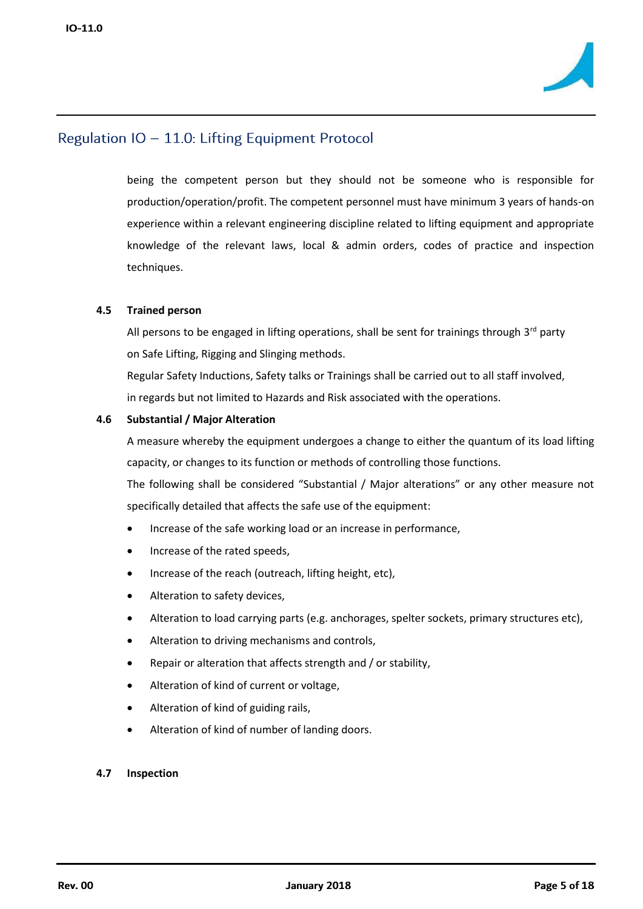

being the competent person but they should not be someone who is responsible for production/operation/profit. The competent personnel must have minimum 3 years of hands-on experience within a relevant engineering discipline related to lifting equipment and appropriate knowledge of the relevant laws, local & admin orders, codes of practice and inspection techniques.

### **4.5 Trained person**

All persons to be engaged in lifting operations, shall be sent for trainings through  $3<sup>rd</sup>$  party on Safe Lifting, Rigging and Slinging methods.

Regular Safety Inductions, Safety talks or Trainings shall be carried out to all staff involved, in regards but not limited to Hazards and Risk associated with the operations.

### **4.6 Substantial / Major Alteration**

A measure whereby the equipment undergoes a change to either the quantum of its load lifting capacity, or changes to its function or methods of controlling those functions.

The following shall be considered "Substantial / Major alterations" or any other measure not specifically detailed that affects the safe use of the equipment:

- Increase of the safe working load or an increase in performance,
- Increase of the rated speeds,
- Increase of the reach (outreach, lifting height, etc),
- Alteration to safety devices,
- Alteration to load carrying parts (e.g. anchorages, spelter sockets, primary structures etc),
- Alteration to driving mechanisms and controls,
- Repair or alteration that affects strength and / or stability,
- Alteration of kind of current or voltage,
- Alteration of kind of guiding rails,
- Alteration of kind of number of landing doors.

#### **4.7 Inspection**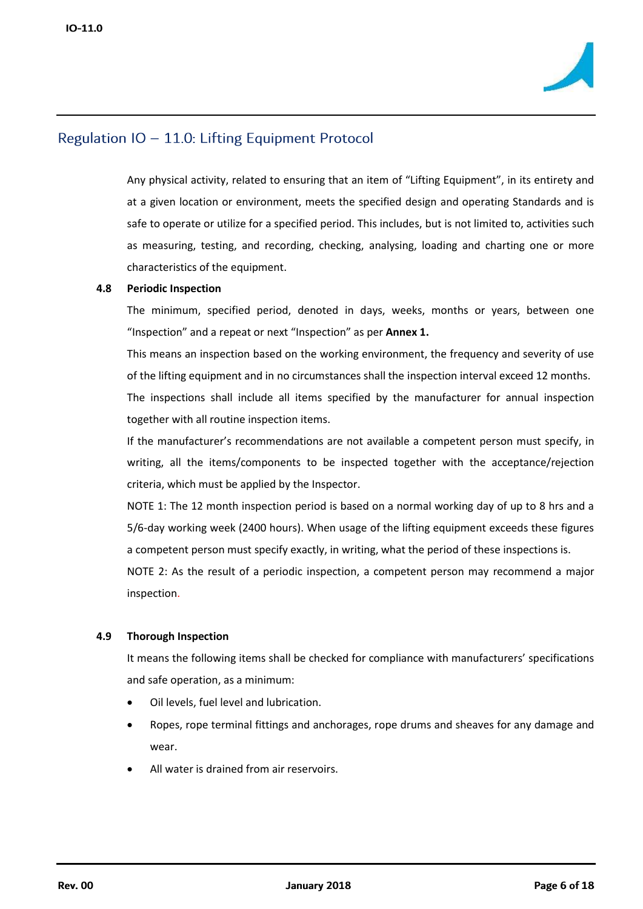

Any physical activity, related to ensuring that an item of "Lifting Equipment", in its entirety and at a given location or environment, meets the specified design and operating Standards and is safe to operate or utilize for a specified period. This includes, but is not limited to, activities such as measuring, testing, and recording, checking, analysing, loading and charting one or more characteristics of the equipment.

### **4.8 Periodic Inspection**

The minimum, specified period, denoted in days, weeks, months or years, between one "Inspection" and a repeat or next "Inspection" as per **Annex 1.**

This means an inspection based on the working environment, the frequency and severity of use of the lifting equipment and in no circumstances shall the inspection interval exceed 12 months. The inspections shall include all items specified by the manufacturer for annual inspection together with all routine inspection items.

If the manufacturer's recommendations are not available a competent person must specify, in writing, all the items/components to be inspected together with the acceptance/rejection criteria, which must be applied by the Inspector.

NOTE 1: The 12 month inspection period is based on a normal working day of up to 8 hrs and a 5/6-day working week (2400 hours). When usage of the lifting equipment exceeds these figures a competent person must specify exactly, in writing, what the period of these inspections is.

NOTE 2: As the result of a periodic inspection, a competent person may recommend a major inspection.

### **4.9 Thorough Inspection**

It means the following items shall be checked for compliance with manufacturers' specifications and safe operation, as a minimum:

- Oil levels, fuel level and lubrication.
- Ropes, rope terminal fittings and anchorages, rope drums and sheaves for any damage and wear.
- All water is drained from air reservoirs.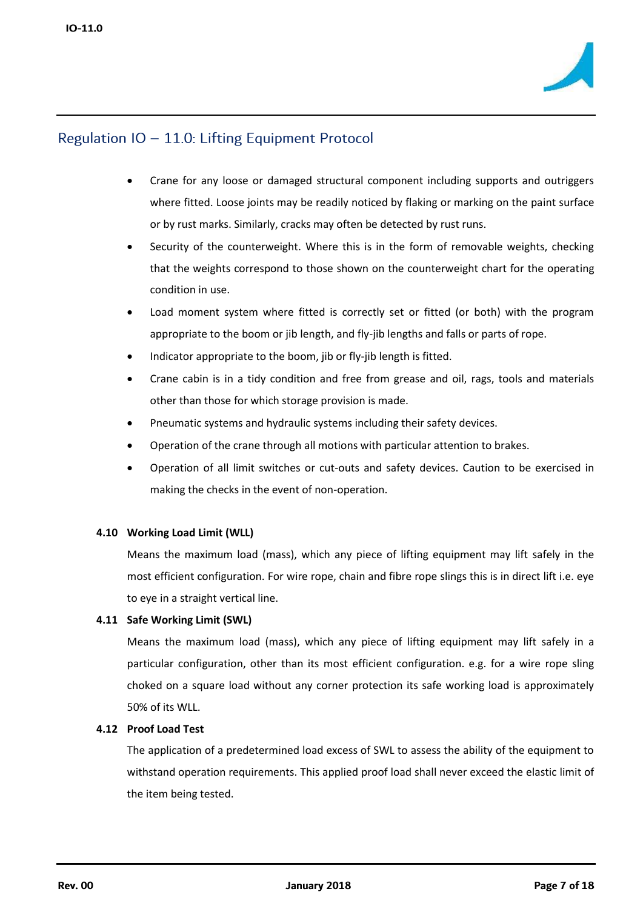

- Crane for any loose or damaged structural component including supports and outriggers where fitted. Loose joints may be readily noticed by flaking or marking on the paint surface or by rust marks. Similarly, cracks may often be detected by rust runs.
- Security of the counterweight. Where this is in the form of removable weights, checking that the weights correspond to those shown on the counterweight chart for the operating condition in use.
- Load moment system where fitted is correctly set or fitted (or both) with the program appropriate to the boom or jib length, and fly-jib lengths and falls or parts of rope.
- Indicator appropriate to the boom, jib or fly-jib length is fitted.
- Crane cabin is in a tidy condition and free from grease and oil, rags, tools and materials other than those for which storage provision is made.
- Pneumatic systems and hydraulic systems including their safety devices.
- Operation of the crane through all motions with particular attention to brakes.
- Operation of all limit switches or cut-outs and safety devices. Caution to be exercised in making the checks in the event of non-operation.

### **4.10 Working Load Limit (WLL)**

Means the maximum load (mass), which any piece of lifting equipment may lift safely in the most efficient configuration. For wire rope, chain and fibre rope slings this is in direct lift i.e. eye to eye in a straight vertical line.

#### **4.11 Safe Working Limit (SWL)**

Means the maximum load (mass), which any piece of lifting equipment may lift safely in a particular configuration, other than its most efficient configuration. e.g. for a wire rope sling choked on a square load without any corner protection its safe working load is approximately 50% of its WLL.

### **4.12 Proof Load Test**

The application of a predetermined load excess of SWL to assess the ability of the equipment to withstand operation requirements. This applied proof load shall never exceed the elastic limit of the item being tested.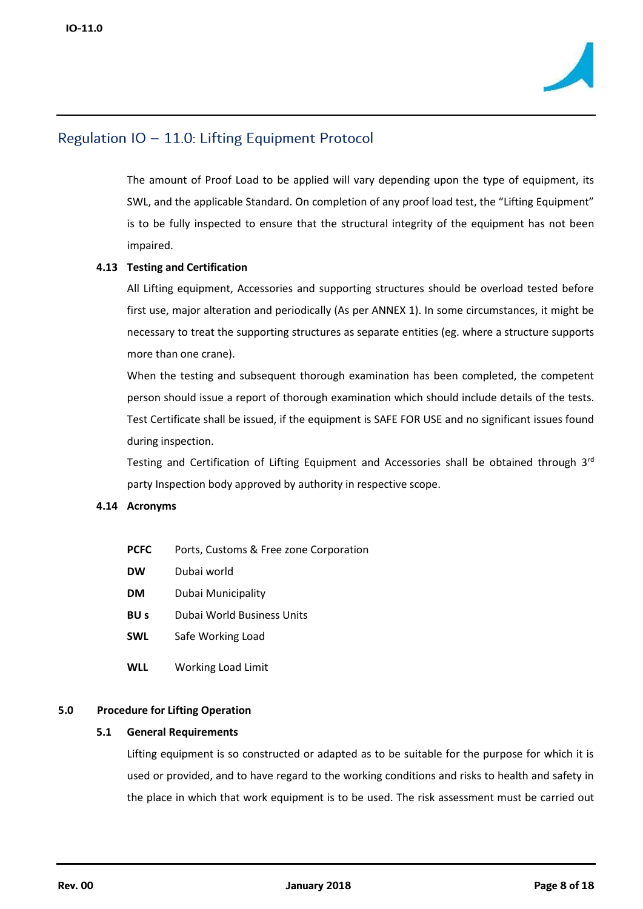

The amount of Proof Load to be applied will vary depending upon the type of equipment, its SWL, and the applicable Standard. On completion of any proof load test, the "Lifting Equipment" is to be fully inspected to ensure that the structural integrity of the equipment has not been impaired.

### **4.13 Testing and Certification**

All Lifting equipment, Accessories and supporting structures should be overload tested before first use, major alteration and periodically (As per ANNEX 1). In some circumstances, it might be necessary to treat the supporting structures as separate entities (eg. where a structure supports more than one crane).

When the testing and subsequent thorough examination has been completed, the competent person should issue a report of thorough examination which should include details of the tests. Test Certificate shall be issued, if the equipment is SAFE FOR USE and no significant issues found during inspection.

Testing and Certification of Lifting Equipment and Accessories shall be obtained through  $3<sup>rd</sup>$ party Inspection body approved by authority in respective scope.

### **4.14 Acronyms**

- **PCFC** Ports, Customs & Free zone Corporation
- **DW** Dubai world
- **DM** Dubai Municipality
- **BU s** Dubai World Business Units
- **SWL** Safe Working Load
- **WLL** Working Load Limit

### **5.0 Procedure for Lifting Operation**

#### **5.1 General Requirements**

Lifting equipment is so constructed or adapted as to be suitable for the purpose for which it is used or provided, and to have regard to the working conditions and risks to health and safety in the place in which that work equipment is to be used. The risk assessment must be carried out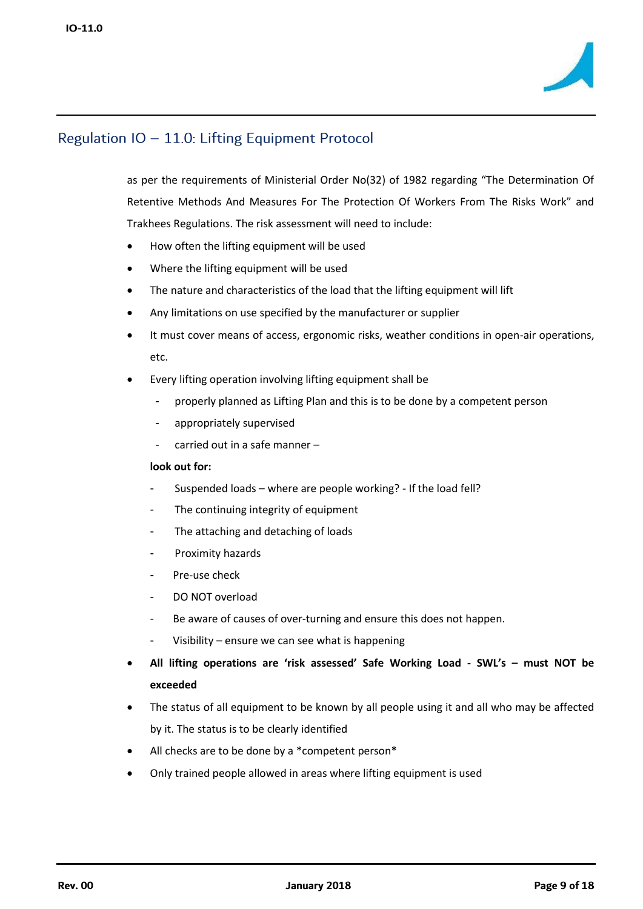

as per the requirements of Ministerial Order No(32) of 1982 regarding "The Determination Of Retentive Methods And Measures For The Protection Of Workers From The Risks Work" and Trakhees Regulations. The risk assessment will need to include:

- How often the lifting equipment will be used
- Where the lifting equipment will be used
- The nature and characteristics of the load that the lifting equipment will lift
- Any limitations on use specified by the manufacturer or supplier
- It must cover means of access, ergonomic risks, weather conditions in open-air operations, etc.
- Every lifting operation involving lifting equipment shall be
	- properly planned as Lifting Plan and this is to be done by a competent person
	- appropriately supervised
	- carried out in a safe manner –

### **look out for:**

- Suspended loads where are people working? If the load fell?
- The continuing integrity of equipment
- The attaching and detaching of loads
- Proximity hazards
- Pre-use check
- DO NOT overload
- Be aware of causes of over-turning and ensure this does not happen.
- Visibility ensure we can see what is happening
- **All lifting operations are 'risk assessed' Safe Working Load - SWL's – must NOT be exceeded**
- The status of all equipment to be known by all people using it and all who may be affected by it. The status is to be clearly identified
- All checks are to be done by a \*competent person\*
- Only trained people allowed in areas where lifting equipment is used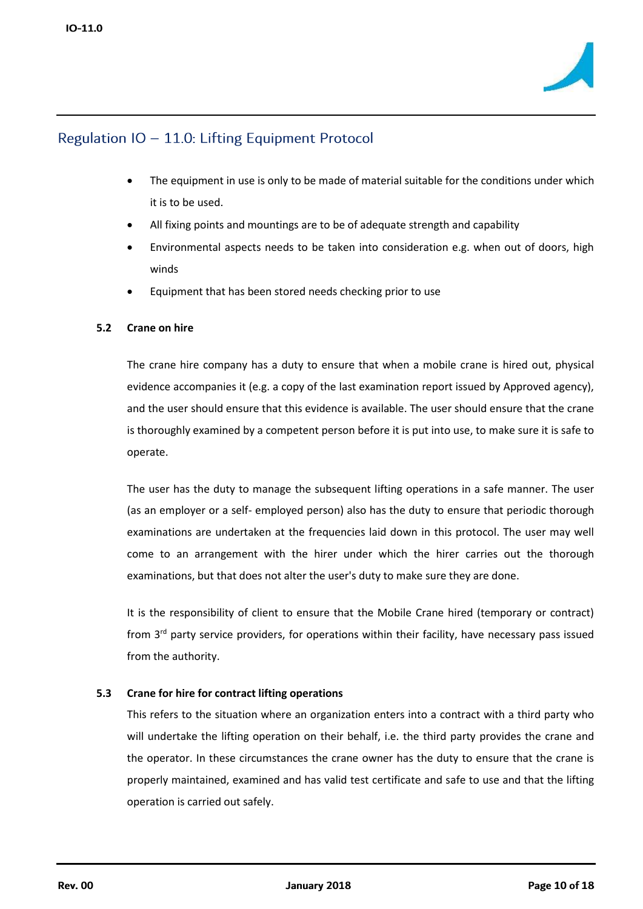

- The equipment in use is only to be made of material suitable for the conditions under which it is to be used.
- All fixing points and mountings are to be of adequate strength and capability
- Environmental aspects needs to be taken into consideration e.g. when out of doors, high winds
- Equipment that has been stored needs checking prior to use

### **5.2 Crane on hire**

The crane hire company has a duty to ensure that when a mobile crane is hired out, physical evidence accompanies it (e.g. a copy of the last examination report issued by Approved agency), and the user should ensure that this evidence is available. The user should ensure that the crane is thoroughly examined by a competent person before it is put into use, to make sure it is safe to operate.

The user has the duty to manage the subsequent lifting operations in a safe manner. The user (as an employer or a self- employed person) also has the duty to ensure that periodic thorough examinations are undertaken at the frequencies laid down in this protocol. The user may well come to an arrangement with the hirer under which the hirer carries out the thorough examinations, but that does not alter the user's duty to make sure they are done.

It is the responsibility of client to ensure that the Mobile Crane hired (temporary or contract) from 3<sup>rd</sup> party service providers, for operations within their facility, have necessary pass issued from the authority.

### **5.3 Crane for hire for contract lifting operations**

This refers to the situation where an organization enters into a contract with a third party who will undertake the lifting operation on their behalf, i.e. the third party provides the crane and the operator. In these circumstances the crane owner has the duty to ensure that the crane is properly maintained, examined and has valid test certificate and safe to use and that the lifting operation is carried out safely.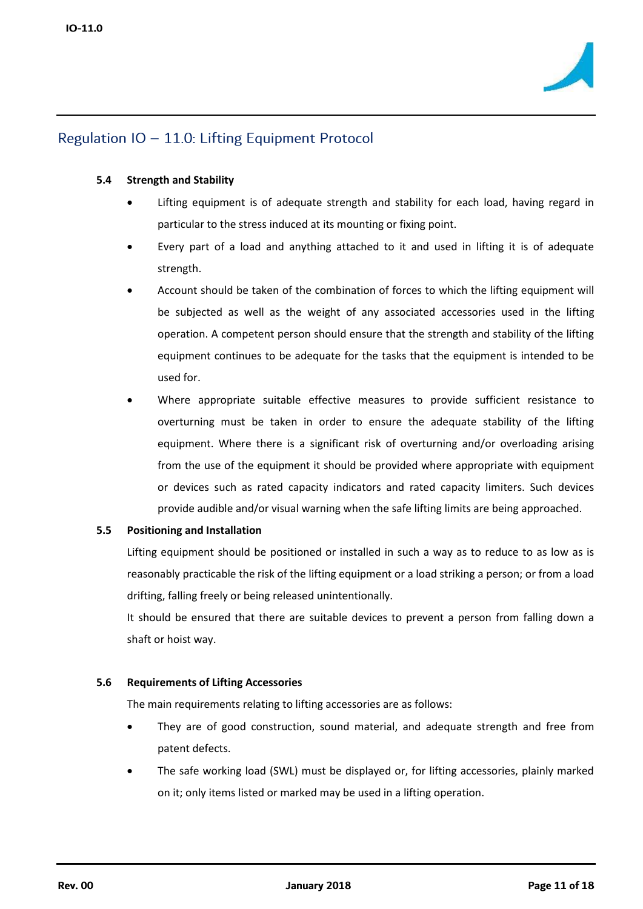

### **5.4 Strength and Stability**

- Lifting equipment is of adequate strength and stability for each load, having regard in particular to the stress induced at its mounting or fixing point.
- Every part of a load and anything attached to it and used in lifting it is of adequate strength.
- Account should be taken of the combination of forces to which the lifting equipment will be subjected as well as the weight of any associated accessories used in the lifting operation. A competent person should ensure that the strength and stability of the lifting equipment continues to be adequate for the tasks that the equipment is intended to be used for.
- Where appropriate suitable effective measures to provide sufficient resistance to overturning must be taken in order to ensure the adequate stability of the lifting equipment. Where there is a significant risk of overturning and/or overloading arising from the use of the equipment it should be provided where appropriate with equipment or devices such as rated capacity indicators and rated capacity limiters. Such devices provide audible and/or visual warning when the safe lifting limits are being approached.

### **5.5 Positioning and Installation**

Lifting equipment should be positioned or installed in such a way as to reduce to as low as is reasonably practicable the risk of the lifting equipment or a load striking a person; or from a load drifting, falling freely or being released unintentionally.

It should be ensured that there are suitable devices to prevent a person from falling down a shaft or hoist way.

### **5.6 Requirements of Lifting Accessories**

The main requirements relating to lifting accessories are as follows:

- They are of good construction, sound material, and adequate strength and free from patent defects.
- The safe working load (SWL) must be displayed or, for lifting accessories, plainly marked on it; only items listed or marked may be used in a lifting operation.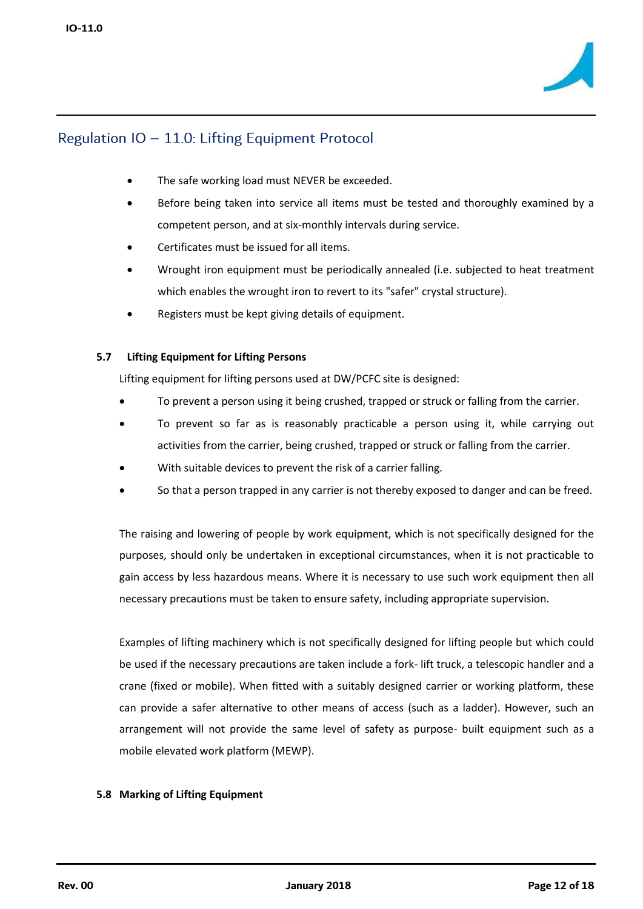

- The safe working load must NEVER be exceeded.
- Before being taken into service all items must be tested and thoroughly examined by a competent person, and at six-monthly intervals during service.
- Certificates must be issued for all items.
- Wrought iron equipment must be periodically annealed (i.e. subjected to heat treatment which enables the wrought iron to revert to its "safer" crystal structure).
- Registers must be kept giving details of equipment.

### **5.7 Lifting Equipment for Lifting Persons**

Lifting equipment for lifting persons used at DW/PCFC site is designed:

- To prevent a person using it being crushed, trapped or struck or falling from the carrier.
- To prevent so far as is reasonably practicable a person using it, while carrying out activities from the carrier, being crushed, trapped or struck or falling from the carrier.
- With suitable devices to prevent the risk of a carrier falling.
- So that a person trapped in any carrier is not thereby exposed to danger and can be freed.

The raising and lowering of people by work equipment, which is not specifically designed for the purposes, should only be undertaken in exceptional circumstances, when it is not practicable to gain access by less hazardous means. Where it is necessary to use such work equipment then all necessary precautions must be taken to ensure safety, including appropriate supervision.

Examples of lifting machinery which is not specifically designed for lifting people but which could be used if the necessary precautions are taken include a fork- lift truck, a telescopic handler and a crane (fixed or mobile). When fitted with a suitably designed carrier or working platform, these can provide a safer alternative to other means of access (such as a ladder). However, such an arrangement will not provide the same level of safety as purpose- built equipment such as a mobile elevated work platform (MEWP).

#### **5.8 Marking of Lifting Equipment**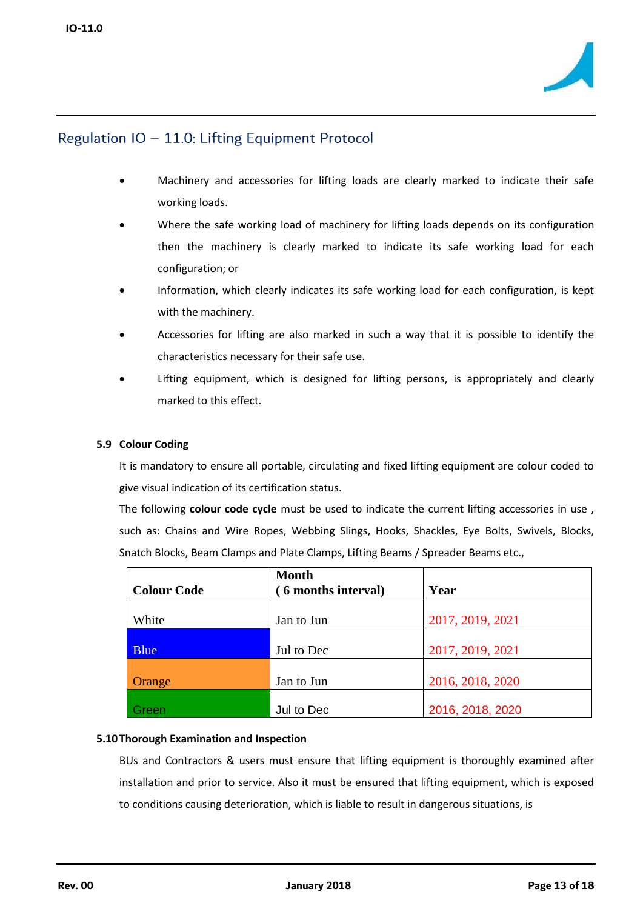

- Machinery and accessories for lifting loads are clearly marked to indicate their safe working loads.
- Where the safe working load of machinery for lifting loads depends on its configuration then the machinery is clearly marked to indicate its safe working load for each configuration; or
- Information, which clearly indicates its safe working load for each configuration, is kept with the machinery.
- Accessories for lifting are also marked in such a way that it is possible to identify the characteristics necessary for their safe use.
- Lifting equipment, which is designed for lifting persons, is appropriately and clearly marked to this effect.

### **5.9 Colour Coding**

It is mandatory to ensure all portable, circulating and fixed lifting equipment are colour coded to give visual indication of its certification status.

The following **colour code cycle** must be used to indicate the current lifting accessories in use , such as: Chains and Wire Ropes, Webbing Slings, Hooks, Shackles, Eye Bolts, Swivels, Blocks, Snatch Blocks, Beam Clamps and Plate Clamps, Lifting Beams / Spreader Beams etc.,

| <b>Colour Code</b> | <b>Month</b><br>6 months interval) | Year             |
|--------------------|------------------------------------|------------------|
|                    |                                    |                  |
| White              | Jan to Jun                         | 2017, 2019, 2021 |
|                    |                                    |                  |
| <b>Blue</b>        | Jul to Dec                         | 2017, 2019, 2021 |
|                    |                                    |                  |
| Orange             | Jan to Jun                         | 2016, 2018, 2020 |
|                    |                                    |                  |
| Green              | Jul to Dec                         | 2016, 2018, 2020 |

### **5.10 Thorough Examination and Inspection**

BUs and Contractors & users must ensure that lifting equipment is thoroughly examined after installation and prior to service. Also it must be ensured that lifting equipment, which is exposed to conditions causing deterioration, which is liable to result in dangerous situations, is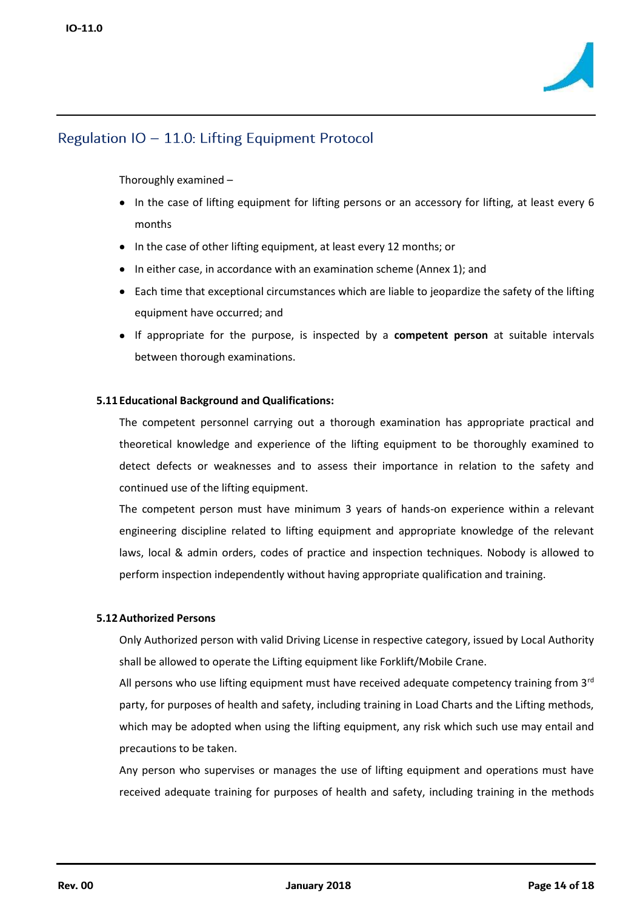

Thoroughly examined –

- In the case of lifting equipment for lifting persons or an accessory for lifting, at least every 6 months
- In the case of other lifting equipment, at least every 12 months; or
- In either case, in accordance with an examination scheme (Annex 1); and
- Each time that exceptional circumstances which are liable to jeopardize the safety of the lifting equipment have occurred; and
- If appropriate for the purpose, is inspected by a **competent person** at suitable intervals between thorough examinations.

### **5.11 Educational Background and Qualifications:**

The competent personnel carrying out a thorough examination has appropriate practical and theoretical knowledge and experience of the lifting equipment to be thoroughly examined to detect defects or weaknesses and to assess their importance in relation to the safety and continued use of the lifting equipment.

The competent person must have minimum 3 years of hands-on experience within a relevant engineering discipline related to lifting equipment and appropriate knowledge of the relevant laws, local & admin orders, codes of practice and inspection techniques. Nobody is allowed to perform inspection independently without having appropriate qualification and training.

### **5.12Authorized Persons**

Only Authorized person with valid Driving License in respective category, issued by Local Authority shall be allowed to operate the Lifting equipment like Forklift/Mobile Crane.

All persons who use lifting equipment must have received adequate competency training from  $3<sup>rd</sup>$ party, for purposes of health and safety, including training in Load Charts and the Lifting methods, which may be adopted when using the lifting equipment, any risk which such use may entail and precautions to be taken.

Any person who supervises or manages the use of lifting equipment and operations must have received adequate training for purposes of health and safety, including training in the methods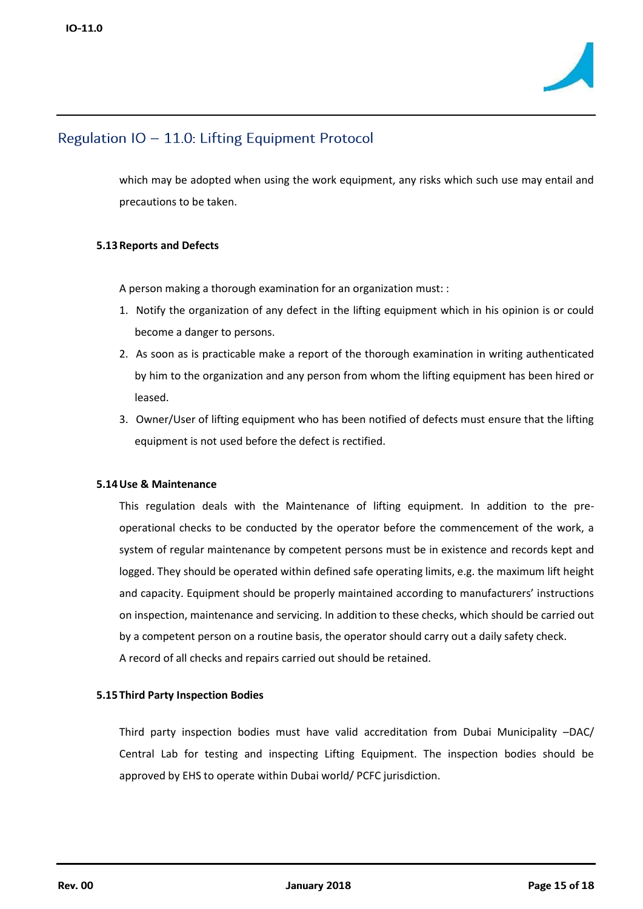

which may be adopted when using the work equipment, any risks which such use may entail and precautions to be taken.

### **5.13Reports and Defects**

A person making a thorough examination for an organization must: :

- 1. Notify the organization of any defect in the lifting equipment which in his opinion is or could become a danger to persons.
- 2. As soon as is practicable make a report of the thorough examination in writing authenticated by him to the organization and any person from whom the lifting equipment has been hired or leased.
- 3. Owner/User of lifting equipment who has been notified of defects must ensure that the lifting equipment is not used before the defect is rectified.

### **5.14Use & Maintenance**

This regulation deals with the Maintenance of lifting equipment. In addition to the preoperational checks to be conducted by the operator before the commencement of the work, a system of regular maintenance by competent persons must be in existence and records kept and logged. They should be operated within defined safe operating limits, e.g. the maximum lift height and capacity. Equipment should be properly maintained according to manufacturers' instructions on inspection, maintenance and servicing. In addition to these checks, which should be carried out by a competent person on a routine basis, the operator should carry out a daily safety check. A record of all checks and repairs carried out should be retained.

#### **5.15 Third Party Inspection Bodies**

Third party inspection bodies must have valid accreditation from Dubai Municipality –DAC/ Central Lab for testing and inspecting Lifting Equipment. The inspection bodies should be approved by EHS to operate within Dubai world/ PCFC jurisdiction.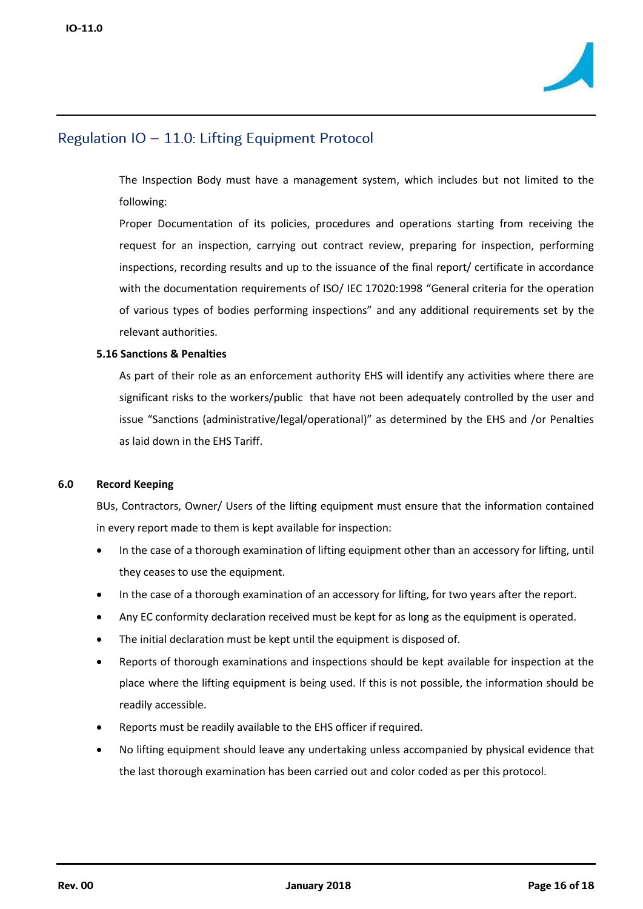

The Inspection Body must have a management system, which includes but not limited to the following:

Proper Documentation of its policies, procedures and operations starting from receiving the request for an inspection, carrying out contract review, preparing for inspection, performing inspections, recording results and up to the issuance of the final report/ certificate in accordance with the documentation requirements of ISO/ IEC 17020:1998 "General criteria for the operation of various types of bodies performing inspections" and any additional requirements set by the relevant authorities.

### **5.16 Sanctions & Penalties**

As part of their role as an enforcement authority EHS will identify any activities where there are significant risks to the workers/public that have not been adequately controlled by the user and issue "Sanctions (administrative/legal/operational)" as determined by the EHS and /or Penalties as laid down in the EHS Tariff.

#### **6.0 Record Keeping**

BUs, Contractors, Owner/ Users of the lifting equipment must ensure that the information contained in every report made to them is kept available for inspection:

- In the case of a thorough examination of lifting equipment other than an accessory for lifting, until they ceases to use the equipment.
- In the case of a thorough examination of an accessory for lifting, for two years after the report.
- Any EC conformity declaration received must be kept for as long as the equipment is operated.
- The initial declaration must be kept until the equipment is disposed of.
- Reports of thorough examinations and inspections should be kept available for inspection at the place where the lifting equipment is being used. If this is not possible, the information should be readily accessible.
- Reports must be readily available to the EHS officer if required.
- No lifting equipment should leave any undertaking unless accompanied by physical evidence that the last thorough examination has been carried out and color coded as per this protocol.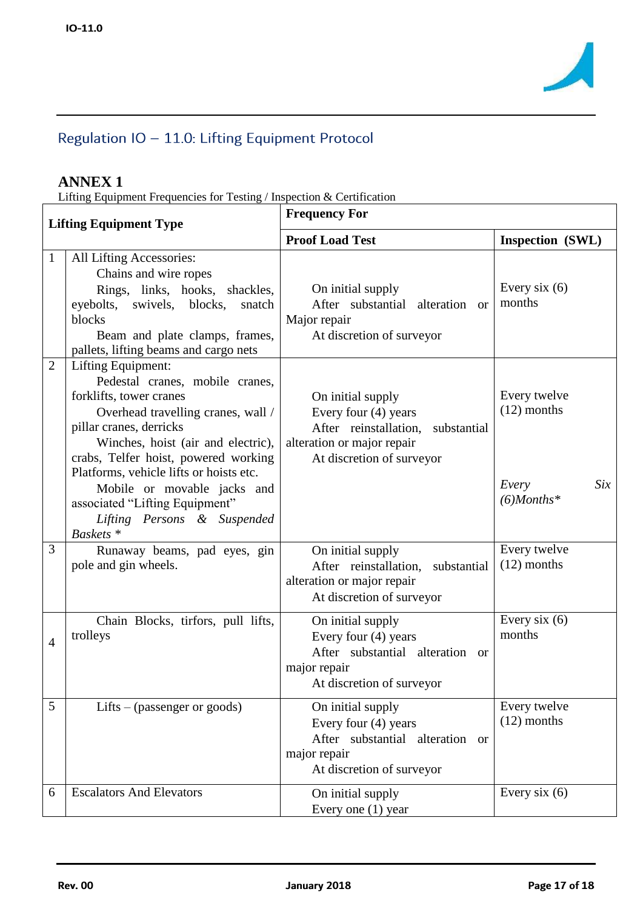

# **ANNEX 1**

Lifting Equipment Frequencies for Testing / Inspection & Certification

| <b>Lifting Equipment Type</b> |                                                                                                                                                                                                                                                                                                                                                                                                    | <b>Frequency For</b>                                                                                                                      |                                                                |  |  |
|-------------------------------|----------------------------------------------------------------------------------------------------------------------------------------------------------------------------------------------------------------------------------------------------------------------------------------------------------------------------------------------------------------------------------------------------|-------------------------------------------------------------------------------------------------------------------------------------------|----------------------------------------------------------------|--|--|
|                               |                                                                                                                                                                                                                                                                                                                                                                                                    | <b>Proof Load Test</b>                                                                                                                    | Inspection (SWL)                                               |  |  |
| $\mathbf{1}$                  | All Lifting Accessories:<br>Chains and wire ropes<br>Rings, links, hooks, shackles,<br>eyebolts,<br>swivels, blocks,<br>snatch<br>blocks<br>Beam and plate clamps, frames,<br>pallets, lifting beams and cargo nets                                                                                                                                                                                | On initial supply<br>After substantial alteration or<br>Major repair<br>At discretion of surveyor                                         | Every six $(6)$<br>months                                      |  |  |
| $\overline{2}$                | Lifting Equipment:<br>Pedestal cranes, mobile cranes,<br>forklifts, tower cranes<br>Overhead travelling cranes, wall /<br>pillar cranes, derricks<br>Winches, hoist (air and electric),<br>crabs, Telfer hoist, powered working<br>Platforms, vehicle lifts or hoists etc.<br>Mobile or movable jacks and<br>associated "Lifting Equipment"<br>Lifting Persons & Suspended<br>Baskets <sup>*</sup> | On initial supply<br>Every four (4) years<br>After reinstallation, substantial<br>alteration or major repair<br>At discretion of surveyor | Every twelve<br>$(12)$ months<br>Six<br>Every<br>$(6)$ Months* |  |  |
| 3                             | Runaway beams, pad eyes, gin<br>pole and gin wheels.                                                                                                                                                                                                                                                                                                                                               | On initial supply<br>After reinstallation, substantial<br>alteration or major repair<br>At discretion of surveyor                         | Every twelve<br>$(12)$ months                                  |  |  |
| $\overline{4}$                | Chain Blocks, tirfors, pull lifts,<br>trolleys                                                                                                                                                                                                                                                                                                                                                     | On initial supply<br>Every four (4) years<br>After substantial alteration or<br>major repair<br>At discretion of surveyor                 | Every six $(6)$<br>months                                      |  |  |
| 5                             | Lifts – (passenger or goods)                                                                                                                                                                                                                                                                                                                                                                       | On initial supply<br>Every four (4) years<br>After substantial alteration or<br>major repair<br>At discretion of surveyor                 | Every twelve<br>$(12)$ months                                  |  |  |
| 6                             | <b>Escalators And Elevators</b>                                                                                                                                                                                                                                                                                                                                                                    | On initial supply<br>Every one $(1)$ year                                                                                                 | Every six $(6)$                                                |  |  |